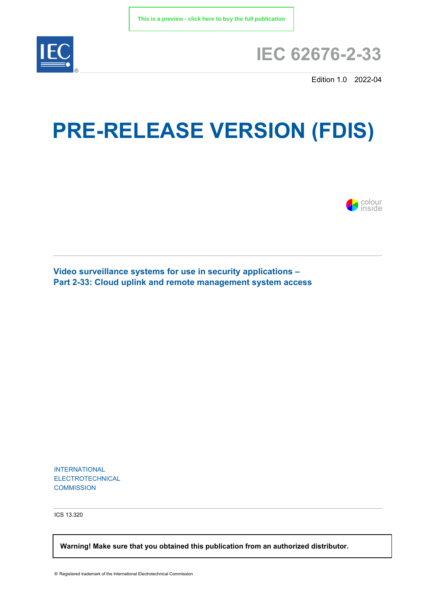

## **IEC 62676-2-33**

Edition 1.0 2022-04

# **PRE-RELEASE VERSION (FDIS)**



**Video surveillance systems for use in security applications – Part 2-33: Cloud uplink and remote management system access**

INTERNATIONAL ELECTROTECHNICAL **COMMISSION** 

ICS 13.320

 **Warning! Make sure that you obtained this publication from an authorized distributor.**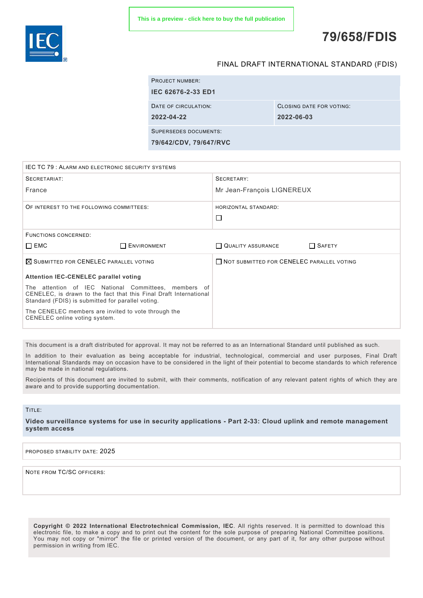

### **79/658/FDIS**

#### FINAL DRAFT INTERNATIONAL STANDARD (FDIS)

|                    | <b>PROJECT NUMBER:</b>                                 |                          |
|--------------------|--------------------------------------------------------|--------------------------|
| IEC 62676-2-33 ED1 |                                                        |                          |
|                    | DATE OF CIRCULATION:                                   | CLOSING DATE FOR VOTING: |
|                    | 2022-04-22                                             | 2022-06-03               |
|                    | <b>SUPERSEDES DOCUMENTS:</b><br>79/642/CDV, 79/647/RVC |                          |
|                    |                                                        |                          |

| <b>IEC TC 79: ALARM AND ELECTRONIC SECURITY SYSTEMS</b>                                                                                                                        |                    |                                           |               |
|--------------------------------------------------------------------------------------------------------------------------------------------------------------------------------|--------------------|-------------------------------------------|---------------|
| SECRETARIAT:                                                                                                                                                                   |                    | SECRETARY:                                |               |
| France                                                                                                                                                                         |                    | Mr Jean-François LIGNEREUX                |               |
| OF INTEREST TO THE FOLLOWING COMMITTEES:                                                                                                                                       |                    | HORIZONTAL STANDARD:                      |               |
|                                                                                                                                                                                |                    | □                                         |               |
| <b>FUNCTIONS CONCERNED:</b>                                                                                                                                                    |                    |                                           |               |
| $\square$ EMC                                                                                                                                                                  | <b>ENVIRONMENT</b> | QUALITY ASSURANCE                         | $\Box$ SAFETY |
| $\boxtimes$ SUBMITTED FOR CENELEC PARALLEL VOTING                                                                                                                              |                    | NOT SUBMITTED FOR CENELEC PARALLEL VOTING |               |
| <b>Attention IEC-CENELEC parallel voting</b>                                                                                                                                   |                    |                                           |               |
| The attention of IEC National Committees, members of<br>CENELEC, is drawn to the fact that this Final Draft International<br>Standard (FDIS) is submitted for parallel voting. |                    |                                           |               |
| The CENELEC members are invited to vote through the<br>CENELEC online voting system.                                                                                           |                    |                                           |               |

This document is a draft distributed for approval. It may not be referred to as an International Standard until published as such.

In addition to their evaluation as being acceptable for industrial, technological, commercial and user purposes, Final Draft International Standards may on occasion have to be considered in the light of their potential to become standards to which reference may be made in national regulations.

Recipients of this document are invited to submit, with their comments, notification of any relevant patent rights of which they are aware and to provide supporting documentation.

#### TITLE:

**Video surveillance systems for use in security applications - Part 2-33: Cloud uplink and remote management system access**

PROPOSED STABILITY DATE: 2025

NOTE FROM TC/SC OFFICERS:

**Copyright © 2022 International Electrotechnical Commission, IEC**. All rights reserved. It is permitted to download this electronic file, to make a copy and to print out the content for the sole purpose of preparing National Committee positions. You may not copy or "mirror" the file or printed version of the document, or any part of it, for any other purpose without permission in writing from IEC.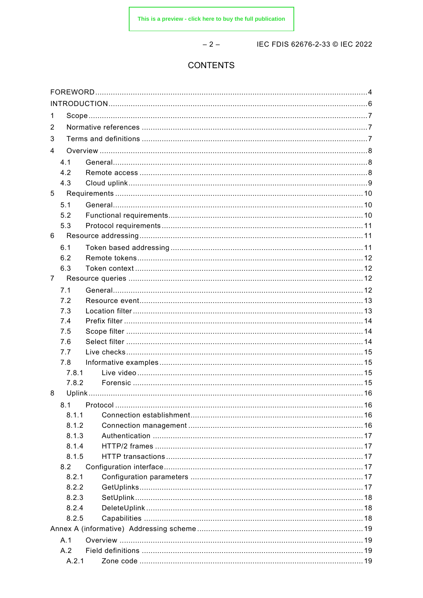$-2-$ 

IEC FDIS 62676-2-33 @ IEC 2022

#### **CONTENTS**

| 1              |            |               |    |  |  |
|----------------|------------|---------------|----|--|--|
| 2              |            |               |    |  |  |
| 3              |            |               |    |  |  |
| 4              |            |               |    |  |  |
|                | 4.1        |               |    |  |  |
|                | 4.2        |               |    |  |  |
|                | 4.3        |               |    |  |  |
| 5              |            |               |    |  |  |
|                |            |               |    |  |  |
|                | 5.1<br>5.2 |               |    |  |  |
|                | 5.3        |               |    |  |  |
| 6              |            |               |    |  |  |
|                |            |               |    |  |  |
|                | 6.1        |               |    |  |  |
|                | 6.2        |               |    |  |  |
| $\overline{7}$ | 6.3        |               |    |  |  |
|                |            |               |    |  |  |
|                | 7.1        |               |    |  |  |
|                | 7.2        |               |    |  |  |
|                | 7.3        |               |    |  |  |
|                | 7.4        |               |    |  |  |
|                | 7.5<br>7.6 |               |    |  |  |
|                | 7.7        |               |    |  |  |
|                | 7.8        |               |    |  |  |
|                | 7.8.1      |               |    |  |  |
|                | 7.8.2      |               |    |  |  |
| 8              |            |               |    |  |  |
|                |            | 8.1 Protocol. | 16 |  |  |
|                | 8.1.1      |               |    |  |  |
|                | 8.1.2      |               |    |  |  |
|                | 8.1.3      |               |    |  |  |
|                | 8.1.4      |               |    |  |  |
|                | 8.1.5      |               |    |  |  |
|                | 8.2        |               |    |  |  |
|                | 8.2.1      |               |    |  |  |
|                | 8.2.2      |               |    |  |  |
|                | 8.2.3      |               |    |  |  |
|                | 8.2.4      |               |    |  |  |
|                | 8.2.5      |               |    |  |  |
|                |            |               |    |  |  |
|                | A.1        |               |    |  |  |
|                | A.2        |               |    |  |  |
|                | A.2.1      |               |    |  |  |
|                |            |               |    |  |  |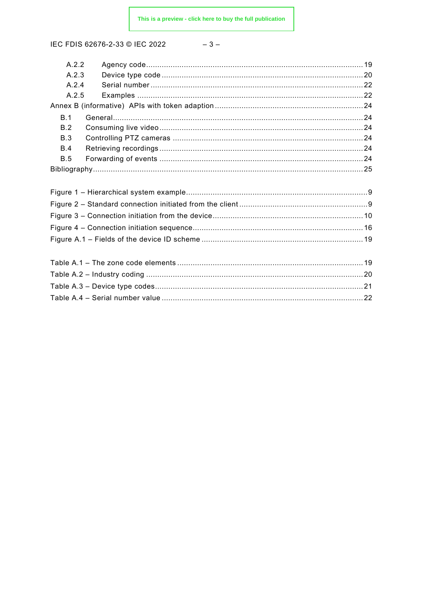IEC FDIS 62676-2-33 © IEC 2022

$$
-\ 3\ -
$$

| A.2.2      |  |
|------------|--|
| A.2.3      |  |
| A.2.4      |  |
| A.2.5      |  |
|            |  |
| B.1        |  |
| B.2        |  |
| B.3        |  |
| B.4        |  |
| <b>B.5</b> |  |
|            |  |
|            |  |
|            |  |
|            |  |
|            |  |
|            |  |
|            |  |
|            |  |
|            |  |
|            |  |
|            |  |
|            |  |
|            |  |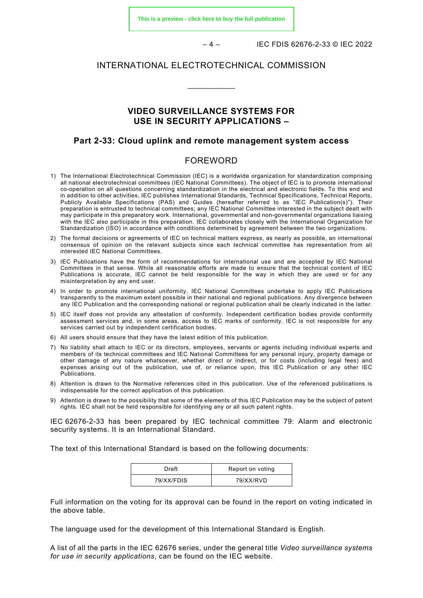**[This is a preview - click here to buy the full publication](https://webstore.iec.ch/publication/75608&preview)**

– 4 – IEC FDIS 62676-2-33 © IEC 2022

#### INTERNATIONAL ELECTROTECHNICAL COMMISSION

\_\_\_\_\_\_\_\_\_\_\_\_

#### **VIDEO SURVEILLANCE SYSTEMS FOR USE IN SECURITY APPLICATIONS –**

#### **Part 2-33: Cloud uplink and remote management system access**

#### FOREWORD

- <span id="page-4-0"></span>1) The International Electrotechnical Commission (IEC) is a worldwide organization for standardization comprising all national electrotechnical committees (IEC National Committees). The object of IEC is to promote international co-operation on all questions concerning standardization in the electrical and electronic fields. To this end and in addition to other activities, IEC publishes International Standards, Technical Specifications, Technical Reports, Publicly Available Specifications (PAS) and Guides (hereafter referred to as "IEC Publication(s)"). Their preparation is entrusted to technical committees; any IEC National Committee interested in the subject dealt with may participate in this preparatory work. International, governmental and non-governmental organizations liaising with the IEC also participate in this preparation. IEC collaborates closely with the International Organization for Standardization (ISO) in accordance with conditions determined by agreement between the two organizations.
- 2) The formal decisions or agreements of IEC on technical matters express, as nearly as possible, an international consensus of opinion on the relevant subjects since each technical committee has representation from all interested IEC National Committees.
- 3) IEC Publications have the form of recommendations for international use and are accepted by IEC National Committees in that sense. While all reasonable efforts are made to ensure that the technical content of IEC Publications is accurate, IEC cannot be held responsible for the way in which they are used or for any misinterpretation by any end user.
- 4) In order to promote international uniformity, IEC National Committees undertake to apply IEC Publications transparently to the maximum extent possible in their national and regional publications. Any divergence between any IEC Publication and the corresponding national or regional publication shall be clearly indicated in the latter.
- 5) IEC itself does not provide any attestation of conformity. Independent certification bodies provide conformity assessment services and, in some areas, access to IEC marks of conformity. IEC is not responsible for any services carried out by independent certification bodies.
- 6) All users should ensure that they have the latest edition of this publication.
- 7) No liability shall attach to IEC or its directors, employees, servants or agents including individual experts and members of its technical committees and IEC National Committees for any personal injury, property damage or other damage of any nature whatsoever, whether direct or indirect, or for costs (including legal fees) and expenses arising out of the publication, use of, or reliance upon, this IEC Publication or any other IEC Publications.
- 8) Attention is drawn to the Normative references cited in this publication. Use of the referenced publications is indispensable for the correct application of this publication.
- 9) Attention is drawn to the possibility that some of the elements of this IEC Publication may be the subject of patent rights. IEC shall not be held responsible for identifying any or all such patent rights.

IEC 62676-2-33 has been prepared by IEC technical committee 79: Alarm and electronic security systems. It is an International Standard.

The text of this International Standard is based on the following documents:

| Draft      | Report on voting |
|------------|------------------|
| 79/XX/FDIS | 79/XX/RVD        |

Full information on the voting for its approval can be found in the report on voting indicated in the above table.

The language used for the development of this International Standard is English.

A list of all the parts in the IEC 62676 series, under the general title *Video surveillance systems for use in security applications*, can be found on the IEC website.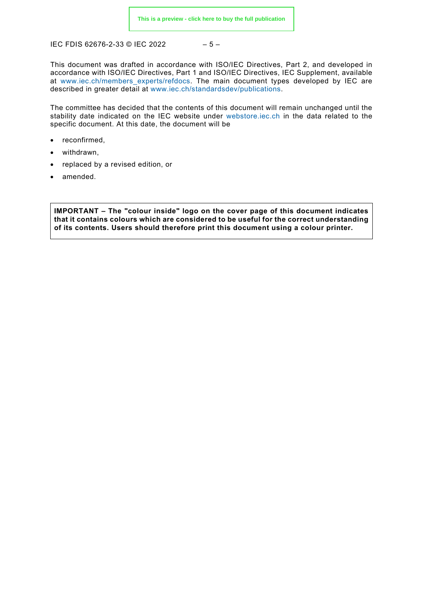IEC FDIS 62676-2-33 © IEC 2022 - 5 -

This document was drafted in accordance with ISO/IEC Directives, Part 2, and developed in accordance with ISO/IEC Directives, Part 1 and ISO/IEC Directives, IEC Supplement, available at [www.iec.ch/members\\_experts/refdocs.](http://www.iec.ch/members_experts/refdocs) The main document types developed by IEC are described in greater detail at [www.iec.ch/standardsdev/publications.](http://www.iec.ch/standardsdev/publications)

The committee has decided that the contents of this document will remain unchanged until the stability date indicated on the IEC website under [webstore.iec.ch](https://webstore.iec.ch/?ref=menu) in the data related to the specific document. At this date, the document will be

- reconfirmed,
- withdrawn,
- replaced by a revised edition, or
- amended.

**IMPORTANT – The "colour inside" logo on the cover page of this document indicates that it contains colours which are considered to be useful for the correct understanding of its contents. Users should therefore print this document using a colour printer.**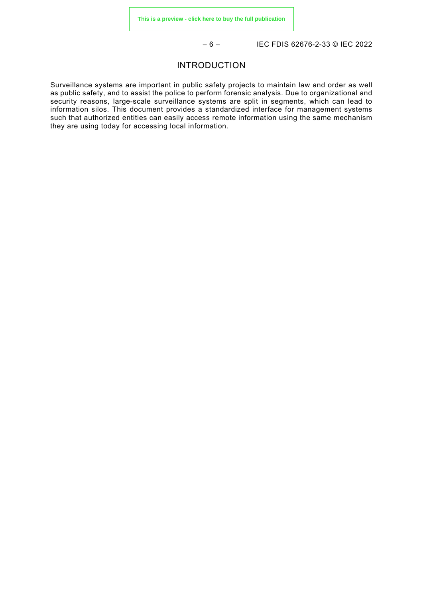– 6 – IEC FDIS 62676-2-33 © IEC 2022

#### INTRODUCTION

<span id="page-6-0"></span>Surveillance systems are important in public safety projects to maintain law and order as well as public safety, and to assist the police to perform forensic analysis. Due to organizational and security reasons, large-scale surveillance systems are split in segments, which can lead to information silos. This document provides a standardized interface for management systems such that authorized entities can easily access remote information using the same mechanism they are using today for accessing local information.